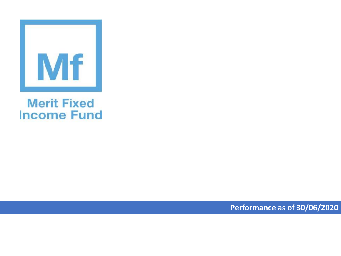

## **Merit Fixed Income Fund**

**Performance as of 30/06/2020**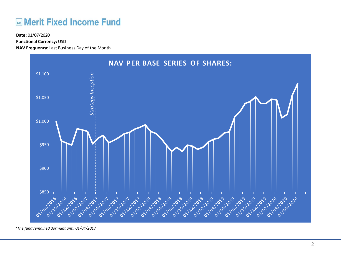## **Merit Fixed Income Fund**

**Functional Currency:** USD

**NAV Frequency:** Last Business Day of the Month